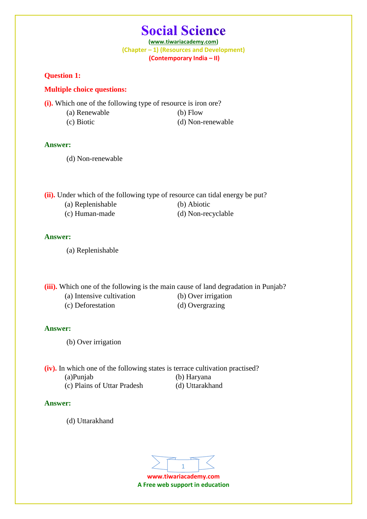## **Social Science**

**(www.tiwariacademy.com) (Chapter – 1) (Resources and Development) (Contemporary India – II)**

**Question 1:** 

### **Multiple choice questions:**

**(i).** Which one of the following type of resource is iron ore?

- (a) Renewable (b) Flow
- (c) Biotic (d) Non-renewable

### **Answer:**

(d) Non-renewable

**(ii).** Under which of the following type of resource can tidal energy be put?

- (a) Replenishable (b) Abiotic
- (c) Human-made (d) Non-recyclable

## **Answer:**

(a) Replenishable

**(iii).** Which one of the following is the main cause of land degradation in Punjab?

- (a) Intensive cultivation (b) Over irrigation
- (c) Deforestation (d) Overgrazing

## **Answer:**

(b) Over irrigation

**(iv).** In which one of the following states is terrace cultivation practised? (a)Punjab (b) Haryana

(c) Plains of Uttar Pradesh (d) Uttarakhand

### **Answer:**

(d) Uttarakhand

**www.tiwariacademy.com** 1

**A Free web support in education**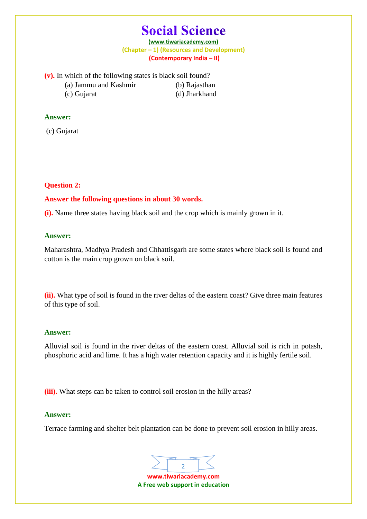# **Social Science**

**(www.tiwariacademy.com) (Chapter – 1) (Resources and Development) (Contemporary India – II)**

**(v).** In which of the following states is black soil found?

- (a) Jammu and Kashmir (b) Rajasthan
- (c) Gujarat (d) Jharkhand

## **Answer:**

(c) Gujarat

## **Question 2:**

## **Answer the following questions in about 30 words.**

**(i).** Name three states having black soil and the crop which is mainly grown in it.

## **Answer:**

Maharashtra, Madhya Pradesh and Chhattisgarh are some states where black soil is found and cotton is the main crop grown on black soil.

**(ii).** What type of soil is found in the river deltas of the eastern coast? Give three main features of this type of soil.

### **Answer:**

Alluvial soil is found in the river deltas of the eastern coast. Alluvial soil is rich in potash, phosphoric acid and lime. It has a high water retention capacity and it is highly fertile soil.

**(iii).** What steps can be taken to control soil erosion in the hilly areas?

## **Answer:**

Terrace farming and shelter belt plantation can be done to prevent soil erosion in hilly areas.

2

**www.tiwariacademy.com A Free web support in education**